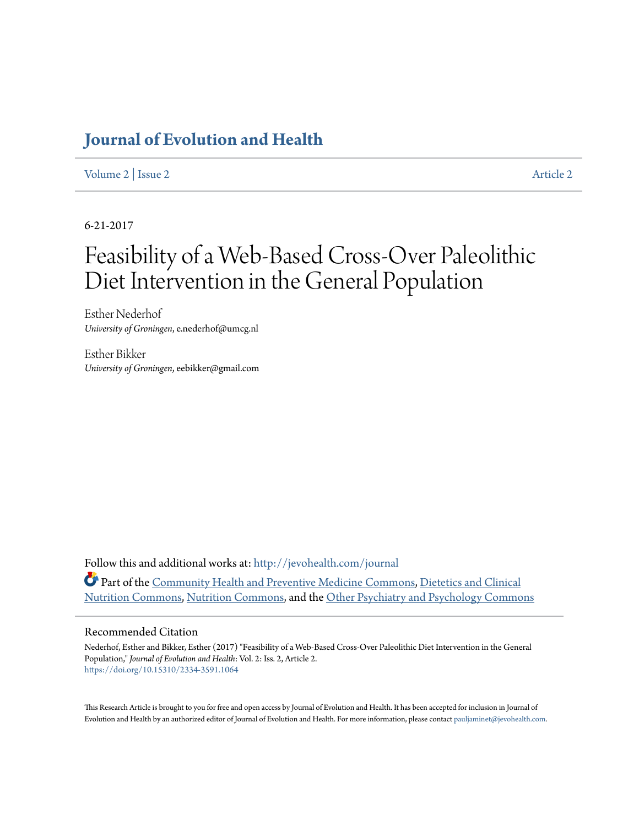## **[Journal of Evolution and Health](http://jevohealth.com/journal?utm_source=jevohealth.com%2Fjournal%2Fvol2%2Fiss2%2F2&utm_medium=PDF&utm_campaign=PDFCoverPages)**

[Volume 2](http://jevohealth.com/journal/vol2?utm_source=jevohealth.com%2Fjournal%2Fvol2%2Fiss2%2F2&utm_medium=PDF&utm_campaign=PDFCoverPages) | [Issue 2](http://jevohealth.com/journal/vol2/iss2?utm_source=jevohealth.com%2Fjournal%2Fvol2%2Fiss2%2F2&utm_medium=PDF&utm_campaign=PDFCoverPages) [Article 2](http://jevohealth.com/journal/vol2/iss2/2?utm_source=jevohealth.com%2Fjournal%2Fvol2%2Fiss2%2F2&utm_medium=PDF&utm_campaign=PDFCoverPages)

6-21-2017

# Feasibility of a Web-Based Cross-Over Paleolithic Diet Intervention in the General Population

Esther Nederhof *University of Groningen*, e.nederhof@umcg.nl

Esther Bikker *University of Groningen*, eebikker@gmail.com

Follow this and additional works at: [http://jevohealth.com/journal](http://jevohealth.com/journal?utm_source=jevohealth.com%2Fjournal%2Fvol2%2Fiss2%2F2&utm_medium=PDF&utm_campaign=PDFCoverPages) Part of the [Community Health and Preventive Medicine Commons,](http://network.bepress.com/hgg/discipline/744?utm_source=jevohealth.com%2Fjournal%2Fvol2%2Fiss2%2F2&utm_medium=PDF&utm_campaign=PDFCoverPages) [Dietetics and Clinical](http://network.bepress.com/hgg/discipline/662?utm_source=jevohealth.com%2Fjournal%2Fvol2%2Fiss2%2F2&utm_medium=PDF&utm_campaign=PDFCoverPages) [Nutrition Commons](http://network.bepress.com/hgg/discipline/662?utm_source=jevohealth.com%2Fjournal%2Fvol2%2Fiss2%2F2&utm_medium=PDF&utm_campaign=PDFCoverPages), [Nutrition Commons](http://network.bepress.com/hgg/discipline/95?utm_source=jevohealth.com%2Fjournal%2Fvol2%2Fiss2%2F2&utm_medium=PDF&utm_campaign=PDFCoverPages), and the [Other Psychiatry and Psychology Commons](http://network.bepress.com/hgg/discipline/992?utm_source=jevohealth.com%2Fjournal%2Fvol2%2Fiss2%2F2&utm_medium=PDF&utm_campaign=PDFCoverPages)

#### Recommended Citation

Nederhof, Esther and Bikker, Esther (2017) "Feasibility of a Web-Based Cross-Over Paleolithic Diet Intervention in the General Population," *Journal of Evolution and Health*: Vol. 2: Iss. 2, Article 2. <https://doi.org/10.15310/2334-3591.1064>

This Research Article is brought to you for free and open access by Journal of Evolution and Health. It has been accepted for inclusion in Journal of Evolution and Health by an authorized editor of Journal of Evolution and Health. For more information, please contact [pauljaminet@jevohealth.com.](mailto:pauljaminet@jevohealth.com)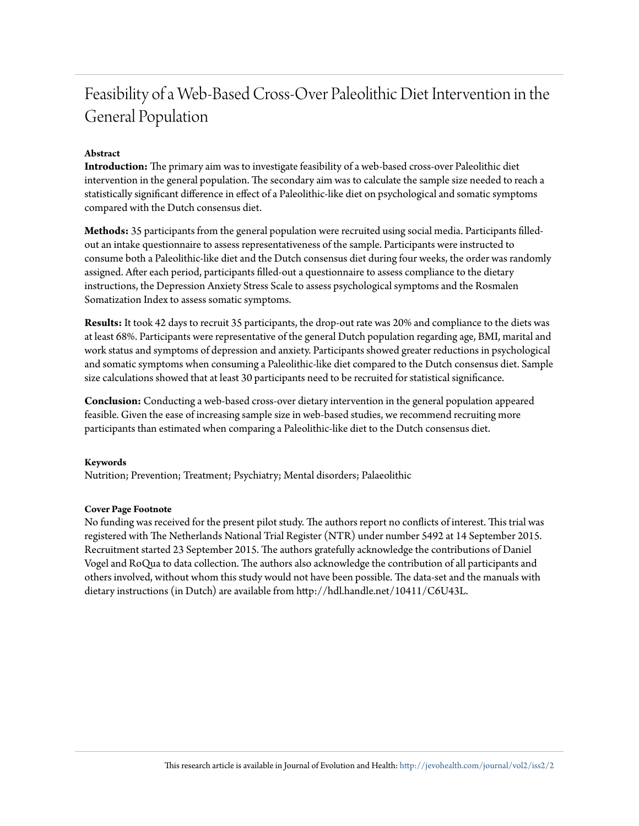## Feasibility of a Web-Based Cross-Over Paleolithic Diet Intervention in the General Population

### **Abstract**

**Introduction:** The primary aim was to investigate feasibility of a web-based cross-over Paleolithic diet intervention in the general population. The secondary aim was to calculate the sample size needed to reach a statistically significant difference in effect of a Paleolithic-like diet on psychological and somatic symptoms compared with the Dutch consensus diet.

**Methods:** 35 participants from the general population were recruited using social media. Participants filledout an intake questionnaire to assess representativeness of the sample. Participants were instructed to consume both a Paleolithic-like diet and the Dutch consensus diet during four weeks, the order was randomly assigned. After each period, participants filled-out a questionnaire to assess compliance to the dietary instructions, the Depression Anxiety Stress Scale to assess psychological symptoms and the Rosmalen Somatization Index to assess somatic symptoms.

**Results:** It took 42 days to recruit 35 participants, the drop-out rate was 20% and compliance to the diets was at least 68%. Participants were representative of the general Dutch population regarding age, BMI, marital and work status and symptoms of depression and anxiety. Participants showed greater reductions in psychological and somatic symptoms when consuming a Paleolithic-like diet compared to the Dutch consensus diet. Sample size calculations showed that at least 30 participants need to be recruited for statistical significance.

**Conclusion:** Conducting a web-based cross-over dietary intervention in the general population appeared feasible. Given the ease of increasing sample size in web-based studies, we recommend recruiting more participants than estimated when comparing a Paleolithic-like diet to the Dutch consensus diet.

#### **Keywords**

Nutrition; Prevention; Treatment; Psychiatry; Mental disorders; Palaeolithic

#### **Cover Page Footnote**

No funding was received for the present pilot study. The authors report no conflicts of interest. This trial was registered with The Netherlands National Trial Register (NTR) under number 5492 at 14 September 2015. Recruitment started 23 September 2015. The authors gratefully acknowledge the contributions of Daniel Vogel and RoQua to data collection. The authors also acknowledge the contribution of all participants and others involved, without whom this study would not have been possible. The data-set and the manuals with dietary instructions (in Dutch) are available from http://hdl.handle.net/10411/C6U43L.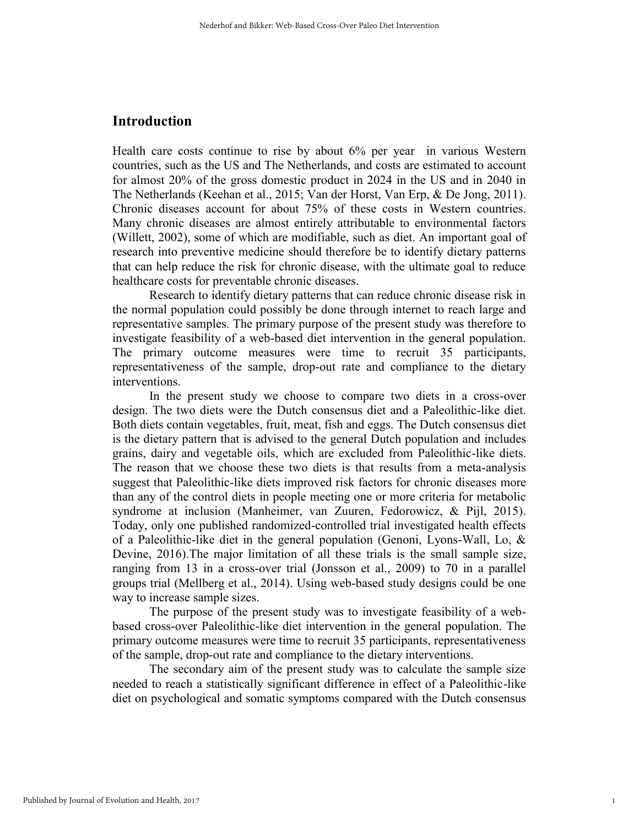## Introduction

Health care costs continue to rise by about 6% per year in various Western countries, such as the US and The Netherlands, and costs are estimated to account for almost 20% of the gross domestic product in 2024 in the US and in 2040 in The Netherlands (Keehan et al., 2015; Van der Horst, Van Erp, & De Jong, 2011). Chronic diseases account for about 75% of these costs in Western countries. Many chronic diseases are almost entirely attributable to environmental factors (Willett, 2002), some of which are modifiable, such as diet. An important goal of research into preventive medicine should therefore be to identify dietary patterns that can help reduce the risk for chronic disease, with the ultimate goal to reduce healthcare costs for preventable chronic diseases.

Research to identify dietary patterns that can reduce chronic disease risk in the normal population could possibly be done through internet to reach large and representative samples. The primary purpose of the present study was therefore to investigate feasibility of a web-based diet intervention in the general population. The primary outcome measures were time to recruit 35 participants, representativeness of the sample, drop-out rate and compliance to the dietary interventions.

In the present study we choose to compare two diets in a cross-over design. The two diets were the Dutch consensus diet and a Paleolithic-like diet. Both diets contain vegetables, fruit, meat, fish and eggs. The Dutch consensus diet is the dietary pattern that is advised to the general Dutch population and includes grains, dairy and vegetable oils, which are excluded from Paleolithic-like diets. The reason that we choose these two diets is that results from a meta-analysis suggest that Paleolithic-like diets improved risk factors for chronic diseases more than any of the control diets in people meeting one or more criteria for metabolic syndrome at inclusion (Manheimer, van Zuuren, Fedorowicz, & Pijl, 2015). Today, only one published randomized-controlled trial investigated health effects of a Paleolithic-like diet in the general population (Genoni, Lyons-Wall, Lo, & Devine, 2016).The major limitation of all these trials is the small sample size, ranging from 13 in a cross-over trial (Jonsson et al., 2009) to 70 in a parallel groups trial (Mellberg et al., 2014). Using web-based study designs could be one way to increase sample sizes.

The purpose of the present study was to investigate feasibility of a webbased cross-over Paleolithic-like diet intervention in the general population. The primary outcome measures were time to recruit 35 participants, representativeness of the sample, drop-out rate and compliance to the dietary interventions.

The secondary aim of the present study was to calculate the sample size needed to reach a statistically significant difference in effect of a Paleolithic-like diet on psychological and somatic symptoms compared with the Dutch consensus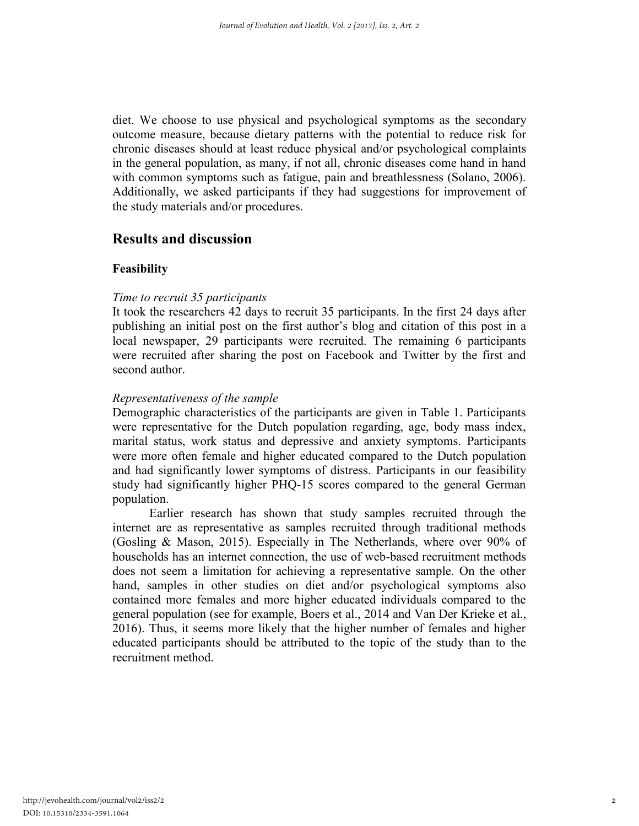diet. We choose to use physical and psychological symptoms as the secondary outcome measure, because dietary patterns with the potential to reduce risk for chronic diseases should at least reduce physical and/or psychological complaints in the general population, as many, if not all, chronic diseases come hand in hand with common symptoms such as fatigue, pain and breathlessness (Solano, 2006). Additionally, we asked participants if they had suggestions for improvement of the study materials and/or procedures.

## Results and discussion

#### Feasibility

#### *Time to recruit 35 participants*

It took the researchers 42 days to recruit 35 participants. In the first 24 days after publishing an initial post on the first author's blog and citation of this post in a local newspaper, 29 participants were recruited. The remaining 6 participants were recruited after sharing the post on Facebook and Twitter by the first and second author.

## *Representativeness of the sample*

Demographic characteristics of the participants are given in Table 1. Participants were representative for the Dutch population regarding, age, body mass index, marital status, work status and depressive and anxiety symptoms. Participants were more often female and higher educated compared to the Dutch population and had significantly lower symptoms of distress. Participants in our feasibility study had significantly higher PHQ-15 scores compared to the general German population.

Earlier research has shown that study samples recruited through the internet are as representative as samples recruited through traditional methods (Gosling & Mason, 2015). Especially in The Netherlands, where over 90% of households has an internet connection, the use of web-based recruitment methods does not seem a limitation for achieving a representative sample. On the other hand, samples in other studies on diet and/or psychological symptoms also contained more females and more higher educated individuals compared to the general population (see for example, Boers et al., 2014 and Van Der Krieke et al., 2016). Thus, it seems more likely that the higher number of females and higher educated participants should be attributed to the topic of the study than to the recruitment method.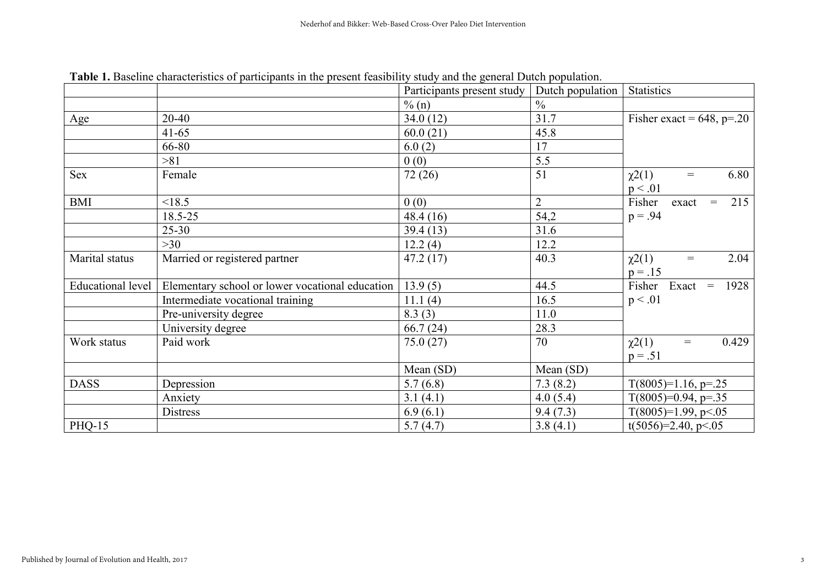|                   |                                                 | Participants present study | Dutch population | <b>Statistics</b>                         |  |  |
|-------------------|-------------------------------------------------|----------------------------|------------------|-------------------------------------------|--|--|
|                   |                                                 | $\%$ (n)                   | $\frac{0}{0}$    |                                           |  |  |
| Age               | 20-40                                           | 34.0(12)                   | 31.7             | Fisher exact = $648$ , p=.20              |  |  |
|                   | $41 - 65$                                       | 60.0(21)                   | 45.8             |                                           |  |  |
|                   | 66-80                                           | 6.0(2)                     | 17               |                                           |  |  |
|                   | >81                                             | 0(0)                       | 5.5              |                                           |  |  |
| <b>Sex</b>        | Female                                          | 72(26)                     | 51               | 6.80<br>$\chi^2(1)$<br>$\,=\,$<br>p < .01 |  |  |
| <b>BMI</b>        | < 18.5                                          | 0(0)                       | $\overline{2}$   | Fisher<br>215<br>exact<br>$\,=\,$         |  |  |
|                   | 18.5-25                                         | 48.4 (16)                  | 54,2             | $p = .94$                                 |  |  |
|                   | $25 - 30$                                       | 39.4(13)                   | 31.6             |                                           |  |  |
|                   | >30                                             | 12.2(4)                    | 12.2             |                                           |  |  |
| Marital status    | Married or registered partner                   | 47.2(17)                   | 40.3             | 2.04<br>$\chi^2(1)$<br>$=$<br>$p = .15$   |  |  |
| Educational level | Elementary school or lower vocational education | 13.9(5)                    | 44.5             | Fisher Exact<br>1928<br>$=$               |  |  |
|                   | Intermediate vocational training                | 11.1(4)                    | 16.5             | p < .01                                   |  |  |
|                   | Pre-university degree                           | 8.3(3)                     | 11.0             |                                           |  |  |
|                   | University degree                               | 66.7(24)                   | 28.3             |                                           |  |  |
| Work status       | Paid work                                       | 75.0(27)                   | 70               | 0.429<br>$\chi^2(1)$<br>$\,=\,$           |  |  |
|                   |                                                 |                            |                  | $p = .51$                                 |  |  |
|                   |                                                 | Mean (SD)                  | Mean (SD)        |                                           |  |  |
| <b>DASS</b>       | Depression                                      | 5.7(6.8)                   | 7.3(8.2)         | $T(8005)=1.16$ , p=.25                    |  |  |
|                   | Anxiety                                         | 3.1(4.1)                   | 4.0(5.4)         | $T(8005)=0.94$ , p=.35                    |  |  |
|                   | <b>Distress</b>                                 | 6.9(6.1)                   | 9.4(7.3)         | $T(8005)=1.99, p<.05$                     |  |  |
| <b>PHQ-15</b>     |                                                 | 5.7(4.7)                   | 3.8(4.1)         | $t(5056)=2.40, p<.05$                     |  |  |

Table 1. Baseline characteristics of participants in the present feasibility study and the general Dutch population.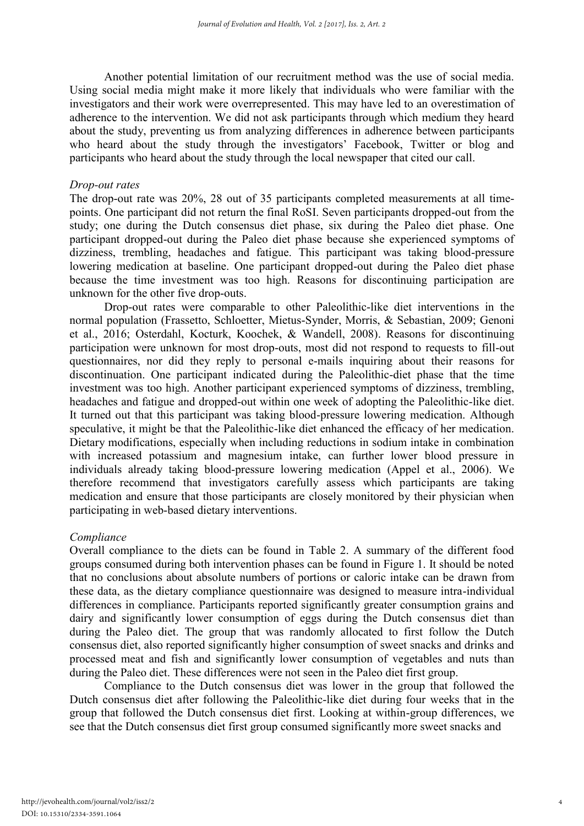Another potential limitation of our recruitment method was the use of social media. Using social media might make it more likely that individuals who were familiar with the investigators and their work were overrepresented. This may have led to an overestimation of adherence to the intervention. We did not ask participants through which medium they heard about the study, preventing us from analyzing differences in adherence between participants who heard about the study through the investigators' Facebook, Twitter or blog and participants who heard about the study through the local newspaper that cited our call.

#### *Drop-out rates*

The drop-out rate was 20%, 28 out of 35 participants completed measurements at all timepoints. One participant did not return the final RoSI. Seven participants dropped-out from the study; one during the Dutch consensus diet phase, six during the Paleo diet phase. One participant dropped-out during the Paleo diet phase because she experienced symptoms of dizziness, trembling, headaches and fatigue. This participant was taking blood-pressure lowering medication at baseline. One participant dropped-out during the Paleo diet phase because the time investment was too high. Reasons for discontinuing participation are unknown for the other five drop-outs.

Drop-out rates were comparable to other Paleolithic-like diet interventions in the normal population (Frassetto, Schloetter, Mietus-Synder, Morris, & Sebastian, 2009; Genoni et al., 2016; Osterdahl, Kocturk, Koochek, & Wandell, 2008). Reasons for discontinuing participation were unknown for most drop-outs, most did not respond to requests to fill-out questionnaires, nor did they reply to personal e-mails inquiring about their reasons for discontinuation. One participant indicated during the Paleolithic-diet phase that the time investment was too high. Another participant experienced symptoms of dizziness, trembling, headaches and fatigue and dropped-out within one week of adopting the Paleolithic-like diet. It turned out that this participant was taking blood-pressure lowering medication. Although speculative, it might be that the Paleolithic-like diet enhanced the efficacy of her medication. Dietary modifications, especially when including reductions in sodium intake in combination with increased potassium and magnesium intake, can further lower blood pressure in individuals already taking blood-pressure lowering medication (Appel et al., 2006). We therefore recommend that investigators carefully assess which participants are taking medication and ensure that those participants are closely monitored by their physician when participating in web-based dietary interventions.

#### *Compliance*

Overall compliance to the diets can be found in Table 2. A summary of the different food groups consumed during both intervention phases can be found in Figure 1. It should be noted that no conclusions about absolute numbers of portions or caloric intake can be drawn from these data, as the dietary compliance questionnaire was designed to measure intra-individual differences in compliance. Participants reported significantly greater consumption grains and dairy and significantly lower consumption of eggs during the Dutch consensus diet than during the Paleo diet. The group that was randomly allocated to first follow the Dutch consensus diet, also reported significantly higher consumption of sweet snacks and drinks and processed meat and fish and significantly lower consumption of vegetables and nuts than during the Paleo diet. These differences were not seen in the Paleo diet first group.

Compliance to the Dutch consensus diet was lower in the group that followed the Dutch consensus diet after following the Paleolithic-like diet during four weeks that in the group that followed the Dutch consensus diet first. Looking at within-group differences, we see that the Dutch consensus diet first group consumed significantly more sweet snacks and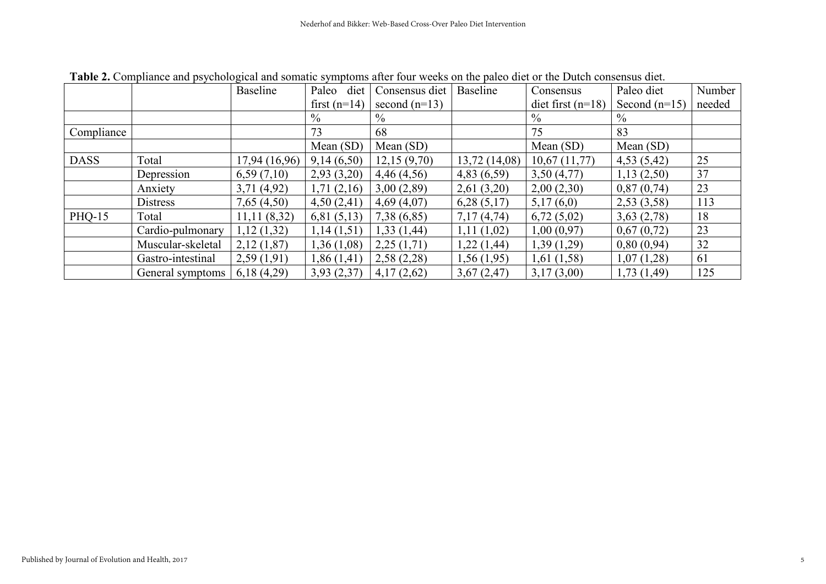|               |                   | <b>Baseline</b> | Paleo<br>diet  | Consensus diet  | <b>Baseline</b> | Consensus           | Paleo diet      | Number |
|---------------|-------------------|-----------------|----------------|-----------------|-----------------|---------------------|-----------------|--------|
|               |                   |                 | first $(n=14)$ | second $(n=13)$ |                 | diet first $(n=18)$ | Second $(n=15)$ | needed |
|               |                   |                 | $\%$           | $\frac{0}{0}$   |                 | $\frac{0}{0}$       | $\frac{0}{0}$   |        |
| Compliance    |                   |                 | 73             | 68              |                 | 75                  | 83              |        |
|               |                   |                 | Mean (SD)      | Mean (SD)       |                 | Mean $(SD)$         | Mean $(SD)$     |        |
| <b>DASS</b>   | Total             | 17,94 (16,96)   | 9,14(6,50)     | 12,15(9,70)     | 13,72(14,08)    | 10,67(11,77)        | 4,53(5,42)      | 25     |
|               | Depression        | 6,59(7,10)      | 2,93(3,20)     | 4,46(4,56)      | 4,83(6,59)      | 3,50(4,77)          | 1,13(2,50)      | 37     |
|               | Anxiety           | 3,71(4,92)      | 1,71(2,16)     | 3,00(2,89)      | 2,61(3,20)      | 2,00(2,30)          | 0,87(0,74)      | 23     |
|               | <b>Distress</b>   | 7,65(4,50)      | 4,50(2,41)     | 4,69(4,07)      | 6,28(5,17)      | 5,17(6,0)           | 2,53(3,58)      | 113    |
| <b>PHQ-15</b> | Total             | 11,11(8,32)     | 6,81(5,13)     | 7,38(6,85)      | 7,17(4,74)      | 6,72(5,02)          | 3,63(2,78)      | 18     |
|               | Cardio-pulmonary  | 1,12(1,32)      | 1,14(1,51)     | 1,33(1,44)      | 1,11(1,02)      | 1,00(0,97)          | 0,67(0,72)      | 23     |
|               | Muscular-skeletal | 2,12(1,87)      | 1,36(1,08)     | 2,25(1,71)      | 1,22 (1,44)     | 1,39(1,29)          | 0,80(0,94)      | 32     |
|               | Gastro-intestinal | 2,59(1,91)      | 1,86(1,41)     | 2,58(2,28)      | 1,56(1,95)      | 1,61(1,58)          | 1,07(1,28)      | 61     |
|               | General symptoms  | 6,18(4,29)      | 3,93(2,37)     | 4,17(2,62)      | 3,67(2,47)      | 3,17(3,00)          | 1,73(1,49)      | 125    |

Table 2. Compliance and psychological and somatic symptoms after four weeks on the paleo diet or the Dutch consensus diet.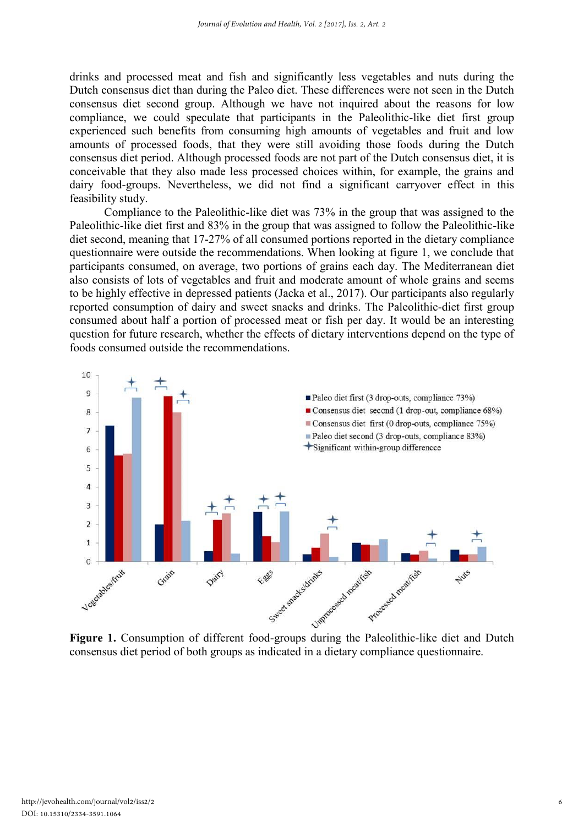drinks and processed meat and fish and significantly less vegetables and nuts during the Dutch consensus diet than during the Paleo diet. These differences were not seen in the Dutch consensus diet second group. Although we have not inquired about the reasons for low compliance, we could speculate that participants in the Paleolithic-like diet first group experienced such benefits from consuming high amounts of vegetables and fruit and low amounts of processed foods, that they were still avoiding those foods during the Dutch consensus diet period. Although processed foods are not part of the Dutch consensus diet, it is conceivable that they also made less processed choices within, for example, the grains and dairy food-groups. Nevertheless, we did not find a significant carryover effect in this feasibility study.

Compliance to the Paleolithic-like diet was 73% in the group that was assigned to the Paleolithic-like diet first and 83% in the group that was assigned to follow the Paleolithic-like diet second, meaning that 17-27% of all consumed portions reported in the dietary compliance questionnaire were outside the recommendations. When looking at figure 1, we conclude that participants consumed, on average, two portions of grains each day. The Mediterranean diet also consists of lots of vegetables and fruit and moderate amount of whole grains and seems to be highly effective in depressed patients (Jacka et al., 2017). Our participants also regularly reported consumption of dairy and sweet snacks and drinks. The Paleolithic-diet first group consumed about half a portion of processed meat or fish per day. It would be an interesting question for future research, whether the effects of dietary interventions depend on the type of foods consumed outside the recommendations.



consensus diet period of both groups as indicated in a dietary compliance questionnaire.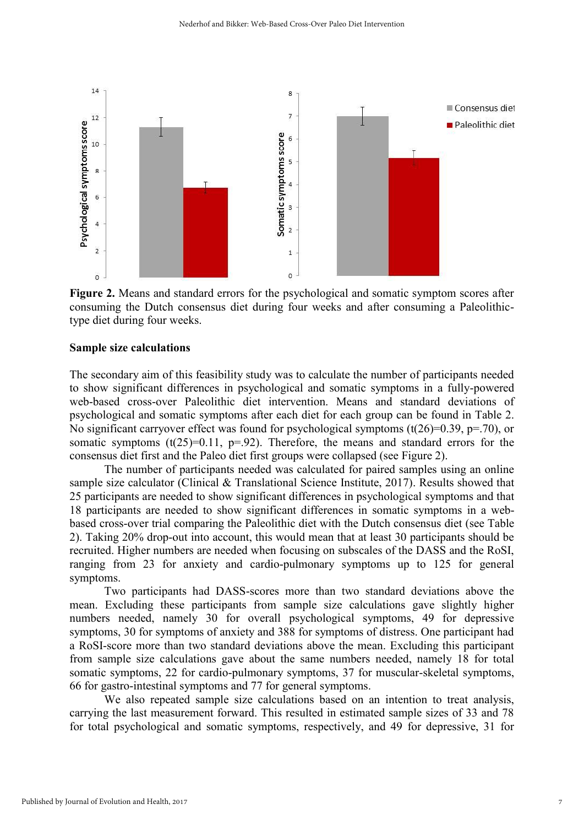

Figure 2. Means and standard errors for the psychological and somatic symptom scores after consuming the Dutch consensus diet during four weeks and after consuming a Paleolithictype diet during four weeks.

#### Sample size calculations

The secondary aim of this feasibility study was to calculate the number of participants needed to show significant differences in psychological and somatic symptoms in a fully-powered web-based cross-over Paleolithic diet intervention. Means and standard deviations of psychological and somatic symptoms after each diet for each group can be found in Table 2. No significant carryover effect was found for psychological symptoms  $(t(26)=0.39, p=.70)$ , or somatic symptoms  $(t(25)=0.11, p=.92)$ . Therefore, the means and standard errors for the consensus diet first and the Paleo diet first groups were collapsed (see Figure 2).

The number of participants needed was calculated for paired samples using an online sample size calculator (Clinical & Translational Science Institute, 2017). Results showed that 25 participants are needed to show significant differences in psychological symptoms and that 18 participants are needed to show significant differences in somatic symptoms in a webbased cross-over trial comparing the Paleolithic diet with the Dutch consensus diet (see Table 2). Taking 20% drop-out into account, this would mean that at least 30 participants should be recruited. Higher numbers are needed when focusing on subscales of the DASS and the RoSI, ranging from 23 for anxiety and cardio-pulmonary symptoms up to 125 for general symptoms.

Two participants had DASS-scores more than two standard deviations above the mean. Excluding these participants from sample size calculations gave slightly higher numbers needed, namely 30 for overall psychological symptoms, 49 for depressive symptoms, 30 for symptoms of anxiety and 388 for symptoms of distress. One participant had a RoSI-score more than two standard deviations above the mean. Excluding this participant from sample size calculations gave about the same numbers needed, namely 18 for total somatic symptoms, 22 for cardio-pulmonary symptoms, 37 for muscular-skeletal symptoms, 66 for gastro-intestinal symptoms and 77 for general symptoms.

We also repeated sample size calculations based on an intention to treat analysis, carrying the last measurement forward. This resulted in estimated sample sizes of 33 and 78 for total psychological and somatic symptoms, respectively, and 49 for depressive, 31 for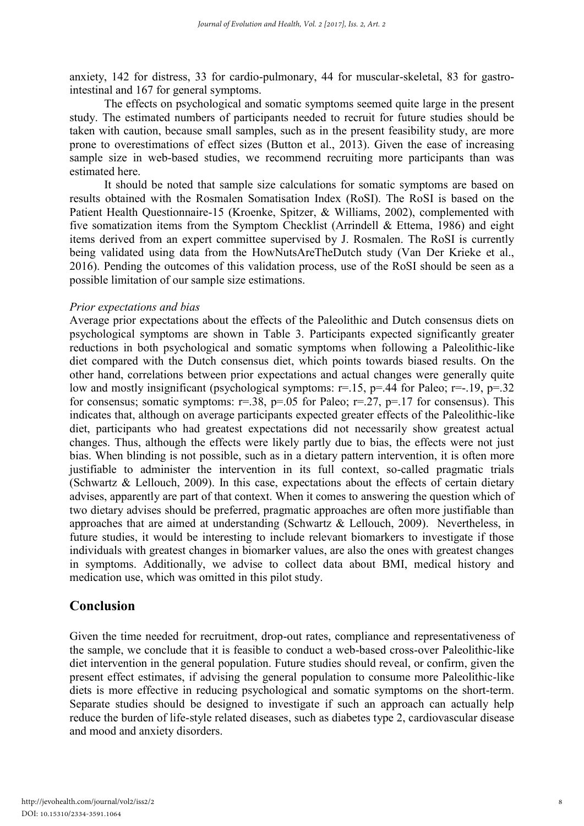anxiety, 142 for distress, 33 for cardio-pulmonary, 44 for muscular-skeletal, 83 for gastrointestinal and 167 for general symptoms.

The effects on psychological and somatic symptoms seemed quite large in the present study. The estimated numbers of participants needed to recruit for future studies should be taken with caution, because small samples, such as in the present feasibility study, are more prone to overestimations of effect sizes (Button et al., 2013). Given the ease of increasing sample size in web-based studies, we recommend recruiting more participants than was estimated here.

It should be noted that sample size calculations for somatic symptoms are based on results obtained with the Rosmalen Somatisation Index (RoSI). The RoSI is based on the Patient Health Questionnaire-15 (Kroenke, Spitzer, & Williams, 2002), complemented with five somatization items from the Symptom Checklist (Arrindell  $\&$  Ettema, 1986) and eight items derived from an expert committee supervised by J. Rosmalen. The RoSI is currently being validated using data from the HowNutsAreTheDutch study (Van Der Krieke et al., 2016). Pending the outcomes of this validation process, use of the RoSI should be seen as a possible limitation of our sample size estimations.

## *Prior expectations and bias*

Average prior expectations about the effects of the Paleolithic and Dutch consensus diets on psychological symptoms are shown in Table 3. Participants expected significantly greater reductions in both psychological and somatic symptoms when following a Paleolithic-like diet compared with the Dutch consensus diet, which points towards biased results. On the other hand, correlations between prior expectations and actual changes were generally quite low and mostly insignificant (psychological symptoms:  $r=15$ ,  $p=.44$  for Paleo;  $r=.19$ ,  $p=.32$ for consensus; somatic symptoms:  $r=38$ ,  $p=.05$  for Paleo;  $r=.27$ ,  $p=.17$  for consensus). This indicates that, although on average participants expected greater effects of the Paleolithic-like diet, participants who had greatest expectations did not necessarily show greatest actual changes. Thus, although the effects were likely partly due to bias, the effects were not just bias. When blinding is not possible, such as in a dietary pattern intervention, it is often more justifiable to administer the intervention in its full context, so-called pragmatic trials (Schwartz & Lellouch, 2009). In this case, expectations about the effects of certain dietary advises, apparently are part of that context. When it comes to answering the question which of two dietary advises should be preferred, pragmatic approaches are often more justifiable than approaches that are aimed at understanding (Schwartz & Lellouch, 2009). Nevertheless, in future studies, it would be interesting to include relevant biomarkers to investigate if those individuals with greatest changes in biomarker values, are also the ones with greatest changes in symptoms. Additionally, we advise to collect data about BMI, medical history and medication use, which was omitted in this pilot study.

## Conclusion

Given the time needed for recruitment, drop-out rates, compliance and representativeness of the sample, we conclude that it is feasible to conduct a web-based cross-over Paleolithic-like diet intervention in the general population. Future studies should reveal, or confirm, given the present effect estimates, if advising the general population to consume more Paleolithic-like diets is more effective in reducing psychological and somatic symptoms on the short-term. Separate studies should be designed to investigate if such an approach can actually help reduce the burden of life-style related diseases, such as diabetes type 2, cardiovascular disease and mood and anxiety disorders.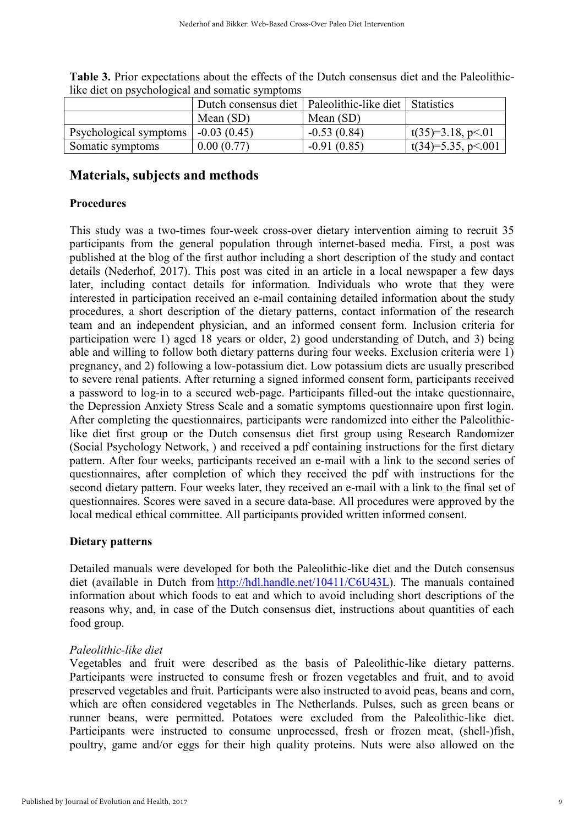|                        | Dutch consensus diet   Paleolithic-like diet   Statistics |               |                           |  |  |
|------------------------|-----------------------------------------------------------|---------------|---------------------------|--|--|
|                        | Mean (SD)                                                 | Mean $(SD)$   |                           |  |  |
| Psychological symptoms | $-0.03(0.45)$                                             | $-0.53(0.84)$ | $\vert$ t(35)=3.18, p<.01 |  |  |
| Somatic symptoms       | 0.00(0.77)                                                | $-0.91(0.85)$ | $_1$ t(34)=5.35, p < 001  |  |  |

Table 3. Prior expectations about the effects of the Dutch consensus diet and the Paleolithiclike diet on psychological and somatic symptoms

## Materials, subjects and methods

## Procedures

This study was a two-times four-week cross-over dietary intervention aiming to recruit 35 participants from the general population through internet-based media. First, a post was published at the blog of the first author including a short description of the study and contact details (Nederhof, 2017). This post was cited in an article in a local newspaper a few days later, including contact details for information. Individuals who wrote that they were interested in participation received an e-mail containing detailed information about the study procedures, a short description of the dietary patterns, contact information of the research team and an independent physician, and an informed consent form. Inclusion criteria for participation were 1) aged 18 years or older, 2) good understanding of Dutch, and 3) being able and willing to follow both dietary patterns during four weeks. Exclusion criteria were 1) pregnancy, and 2) following a low-potassium diet. Low potassium diets are usually prescribed to severe renal patients. After returning a signed informed consent form, participants received a password to log-in to a secured web-page. Participants filled-out the intake questionnaire, the Depression Anxiety Stress Scale and a somatic symptoms questionnaire upon first login. After completing the questionnaires, participants were randomized into either the Paleolithiclike diet first group or the Dutch consensus diet first group using Research Randomizer (Social Psychology Network, ) and received a pdf containing instructions for the first dietary pattern. After four weeks, participants received an e-mail with a link to the second series of questionnaires, after completion of which they received the pdf with instructions for the second dietary pattern. Four weeks later, they received an e-mail with a link to the final set of questionnaires. Scores were saved in a secure data-base. All procedures were approved by the local medical ethical committee. All participants provided written informed consent.

## Dietary patterns

Detailed manuals were developed for both the Paleolithic-like diet and the Dutch consensus diet (available in Dutch from [http://hdl.handle.net/10411/C6U43L\)](https://mail.umcg.nl/owa/redir.aspx?C=UrFfMzio5-ioRCzA5rqR44dAymchQGygExa-NbfkzyFcIok2rIvUCA..&URL=http%3a%2f%2fhdl.handle.net%2f10411%2fC6U43L). The manuals contained information about which foods to eat and which to avoid including short descriptions of the reasons why, and, in case of the Dutch consensus diet, instructions about quantities of each food group.

## *Paleolithic-like diet*

Vegetables and fruit were described as the basis of Paleolithic-like dietary patterns. Participants were instructed to consume fresh or frozen vegetables and fruit, and to avoid preserved vegetables and fruit. Participants were also instructed to avoid peas, beans and corn, which are often considered vegetables in The Netherlands. Pulses, such as green beans or runner beans, were permitted. Potatoes were excluded from the Paleolithic-like diet. Participants were instructed to consume unprocessed, fresh or frozen meat, (shell-)fish, poultry, game and/or eggs for their high quality proteins. Nuts were also allowed on the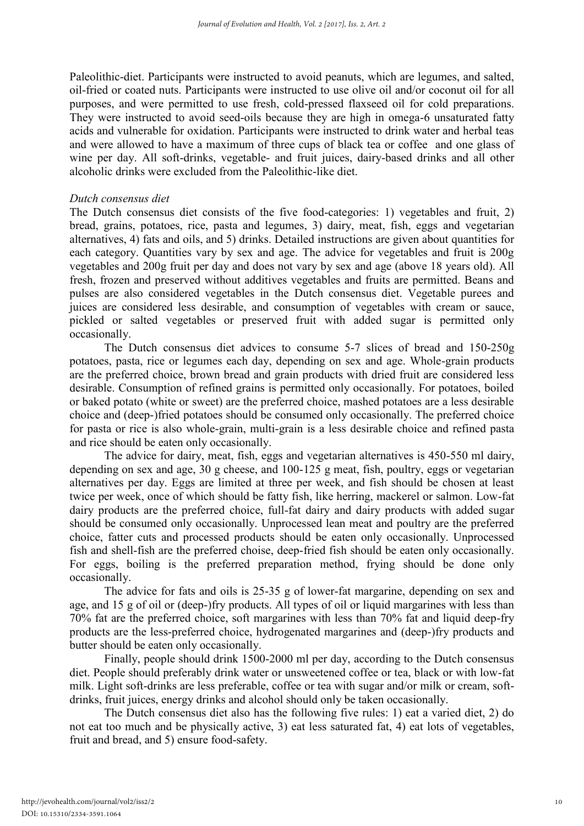Paleolithic-diet. Participants were instructed to avoid peanuts, which are legumes, and salted, oil-fried or coated nuts. Participants were instructed to use olive oil and/or coconut oil for all purposes, and were permitted to use fresh, cold-pressed flaxseed oil for cold preparations. They were instructed to avoid seed-oils because they are high in omega-6 unsaturated fatty acids and vulnerable for oxidation. Participants were instructed to drink water and herbal teas and were allowed to have a maximum of three cups of black tea or coffee and one glass of wine per day. All soft-drinks, vegetable- and fruit juices, dairy-based drinks and all other alcoholic drinks were excluded from the Paleolithic-like diet.

## *Dutch consensus diet*

The Dutch consensus diet consists of the five food-categories: 1) vegetables and fruit, 2) bread, grains, potatoes, rice, pasta and legumes, 3) dairy, meat, fish, eggs and vegetarian alternatives, 4) fats and oils, and 5) drinks. Detailed instructions are given about quantities for each category. Quantities vary by sex and age. The advice for vegetables and fruit is 200g vegetables and 200g fruit per day and does not vary by sex and age (above 18 years old). All fresh, frozen and preserved without additives vegetables and fruits are permitted. Beans and pulses are also considered vegetables in the Dutch consensus diet. Vegetable purees and juices are considered less desirable, and consumption of vegetables with cream or sauce, pickled or salted vegetables or preserved fruit with added sugar is permitted only occasionally.

The Dutch consensus diet advices to consume 5-7 slices of bread and 150-250g potatoes, pasta, rice or legumes each day, depending on sex and age. Whole-grain products are the preferred choice, brown bread and grain products with dried fruit are considered less desirable. Consumption of refined grains is permitted only occasionally. For potatoes, boiled or baked potato (white or sweet) are the preferred choice, mashed potatoes are a less desirable choice and (deep-)fried potatoes should be consumed only occasionally. The preferred choice for pasta or rice is also whole-grain, multi-grain is a less desirable choice and refined pasta and rice should be eaten only occasionally.

The advice for dairy, meat, fish, eggs and vegetarian alternatives is 450-550 ml dairy, depending on sex and age, 30 g cheese, and 100-125 g meat, fish, poultry, eggs or vegetarian alternatives per day. Eggs are limited at three per week, and fish should be chosen at least twice per week, once of which should be fatty fish, like herring, mackerel or salmon. Low-fat dairy products are the preferred choice, full-fat dairy and dairy products with added sugar should be consumed only occasionally. Unprocessed lean meat and poultry are the preferred choice, fatter cuts and processed products should be eaten only occasionally. Unprocessed fish and shell-fish are the preferred choise, deep-fried fish should be eaten only occasionally. For eggs, boiling is the preferred preparation method, frying should be done only occasionally.

The advice for fats and oils is 25-35 g of lower-fat margarine, depending on sex and age, and 15 g of oil or (deep-)fry products. All types of oil or liquid margarines with less than 70% fat are the preferred choice, soft margarines with less than 70% fat and liquid deep-fry products are the less-preferred choice, hydrogenated margarines and (deep-)fry products and butter should be eaten only occasionally.

Finally, people should drink 1500-2000 ml per day, according to the Dutch consensus diet. People should preferably drink water or unsweetened coffee or tea, black or with low-fat milk. Light soft-drinks are less preferable, coffee or tea with sugar and/or milk or cream, softdrinks, fruit juices, energy drinks and alcohol should only be taken occasionally.

The Dutch consensus diet also has the following five rules: 1) eat a varied diet, 2) do not eat too much and be physically active, 3) eat less saturated fat, 4) eat lots of vegetables, fruit and bread, and 5) ensure food-safety.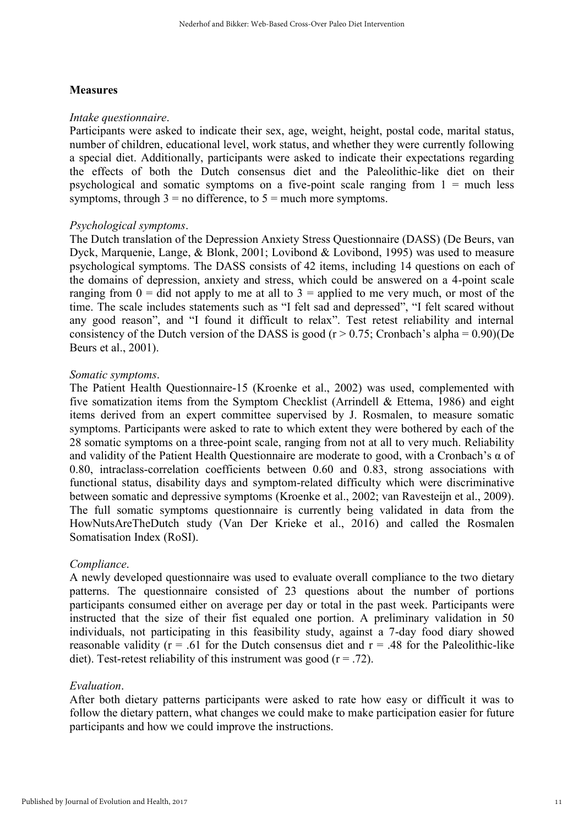## **Measures**

### *Intake questionnaire*.

Participants were asked to indicate their sex, age, weight, height, postal code, marital status, number of children, educational level, work status, and whether they were currently following a special diet. Additionally, participants were asked to indicate their expectations regarding the effects of both the Dutch consensus diet and the Paleolithic-like diet on their psychological and somatic symptoms on a five-point scale ranging from  $1 =$  much less symptoms, through  $3 =$  no difference, to  $5 =$  much more symptoms.

## *Psychological symptoms*.

The Dutch translation of the Depression Anxiety Stress Questionnaire (DASS) (De Beurs, van Dyck, Marquenie, Lange, & Blonk, 2001; Lovibond & Lovibond, 1995) was used to measure psychological symptoms. The DASS consists of 42 items, including 14 questions on each of the domains of depression, anxiety and stress, which could be answered on a 4-point scale ranging from  $0 =$  did not apply to me at all to  $3 =$  applied to me very much, or most of the time. The scale includes statements such as "I felt sad and depressed", "I felt scared without any good reason", and "I found it difficult to relax". Test retest reliability and internal consistency of the Dutch version of the DASS is good ( $r > 0.75$ ; Cronbach's alpha = 0.90)(De Beurs et al., 2001).

## *Somatic symptoms*.

The Patient Health Questionnaire-15 (Kroenke et al., 2002) was used, complemented with five somatization items from the Symptom Checklist (Arrindell & Ettema, 1986) and eight items derived from an expert committee supervised by J. Rosmalen, to measure somatic symptoms. Participants were asked to rate to which extent they were bothered by each of the 28 somatic symptoms on a three-point scale, ranging from not at all to very much. Reliability and validity of the Patient Health Questionnaire are moderate to good, with a Cronbach's α of 0.80, intraclass-correlation coefficients between 0.60 and 0.83, strong associations with functional status, disability days and symptom-related difficulty which were discriminative between somatic and depressive symptoms (Kroenke et al., 2002; van Ravesteijn et al., 2009). The full somatic symptoms questionnaire is currently being validated in data from the HowNutsAreTheDutch study (Van Der Krieke et al., 2016) and called the Rosmalen Somatisation Index (RoSI).

## *Compliance*.

A newly developed questionnaire was used to evaluate overall compliance to the two dietary patterns. The questionnaire consisted of 23 questions about the number of portions participants consumed either on average per day or total in the past week. Participants were instructed that the size of their fist equaled one portion. A preliminary validation in 50 individuals, not participating in this feasibility study, against a 7-day food diary showed reasonable validity ( $r = .61$  for the Dutch consensus diet and  $r = .48$  for the Paleolithic-like diet). Test-retest reliability of this instrument was good ( $r = .72$ ).

## *Evaluation*.

After both dietary patterns participants were asked to rate how easy or difficult it was to follow the dietary pattern, what changes we could make to make participation easier for future participants and how we could improve the instructions.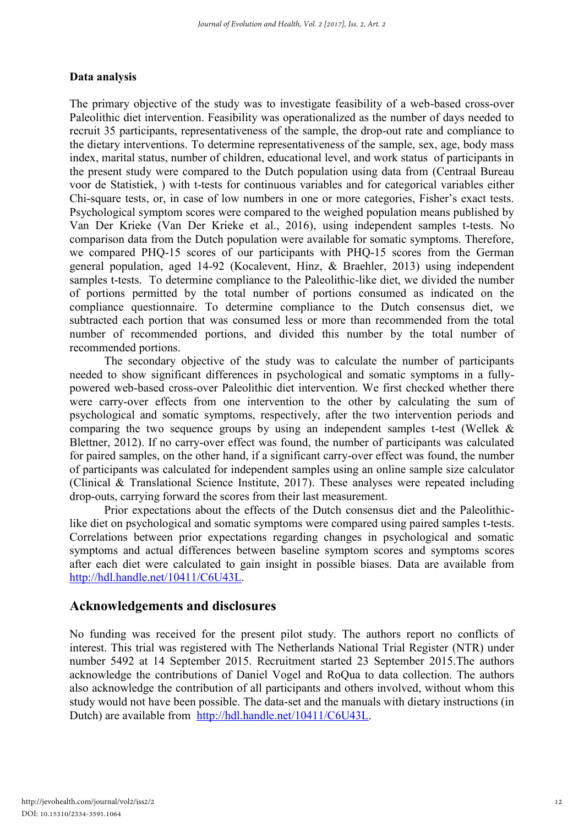## Data analysis

The primary objective of the study was to investigate feasibility of a web-based cross-over Paleolithic diet intervention. Feasibility was operationalized as the number of days needed to recruit 35 participants, representativeness of the sample, the drop-out rate and compliance to the dietary interventions. To determine representativeness of the sample, sex, age, body mass index, marital status, number of children, educational level, and work status of participants in the present study were compared to the Dutch population using data from (Centraal Bureau voor de Statistiek, ) with t-tests for continuous variables and for categorical variables either Chi-square tests, or, in case of low numbers in one or more categories, Fisher's exact tests. Psychological symptom scores were compared to the weighed population means published by Van Der Krieke (Van Der Krieke et al., 2016), using independent samples t-tests. No comparison data from the Dutch population were available for somatic symptoms. Therefore, we compared PHQ-15 scores of our participants with PHQ-15 scores from the German general population, aged 14-92 (Kocalevent, Hinz, & Braehler, 2013) using independent samples t-tests. To determine compliance to the Paleolithic-like diet, we divided the number of portions permitted by the total number of portions consumed as indicated on the compliance questionnaire. To determine compliance to the Dutch consensus diet, we subtracted each portion that was consumed less or more than recommended from the total number of recommended portions, and divided this number by the total number of recommended portions.

The secondary objective of the study was to calculate the number of participants needed to show significant differences in psychological and somatic symptoms in a fullypowered web-based cross-over Paleolithic diet intervention. We first checked whether there were carry-over effects from one intervention to the other by calculating the sum of psychological and somatic symptoms, respectively, after the two intervention periods and comparing the two sequence groups by using an independent samples t-test (Wellek & Blettner, 2012). If no carry-over effect was found, the number of participants was calculated for paired samples, on the other hand, if a significant carry-over effect was found, the number of participants was calculated for independent samples using an online sample size calculator (Clinical & Translational Science Institute, 2017). These analyses were repeated including drop-outs, carrying forward the scores from their last measurement.

Prior expectations about the effects of the Dutch consensus diet and the Paleolithiclike diet on psychological and somatic symptoms were compared using paired samples t-tests. Correlations between prior expectations regarding changes in psychological and somatic symptoms and actual differences between baseline symptom scores and symptoms scores after each diet were calculated to gain insight in possible biases. Data are available from [http://hdl.handle.net/10411/C6U43L.](https://mail.umcg.nl/owa/redir.aspx?C=UrFfMzio5-ioRCzA5rqR44dAymchQGygExa-NbfkzyFcIok2rIvUCA..&URL=http%3a%2f%2fhdl.handle.net%2f10411%2fC6U43L)

## Acknowledgements and disclosures

No funding was received for the present pilot study. The authors report no conflicts of interest. This trial was registered with The Netherlands National Trial Register (NTR) under number 5492 at 14 September 2015. Recruitment started 23 September 2015.The authors acknowledge the contributions of Daniel Vogel and RoQua to data collection. The authors also acknowledge the contribution of all participants and others involved, without whom this study would not have been possible. The data-set and the manuals with dietary instructions (in Dutch) are available from [http://hdl.handle.net/10411/C6U43L.](https://mail.umcg.nl/owa/redir.aspx?C=UrFfMzio5-ioRCzA5rqR44dAymchQGygExa-NbfkzyFcIok2rIvUCA..&URL=http%3a%2f%2fhdl.handle.net%2f10411%2fC6U43L)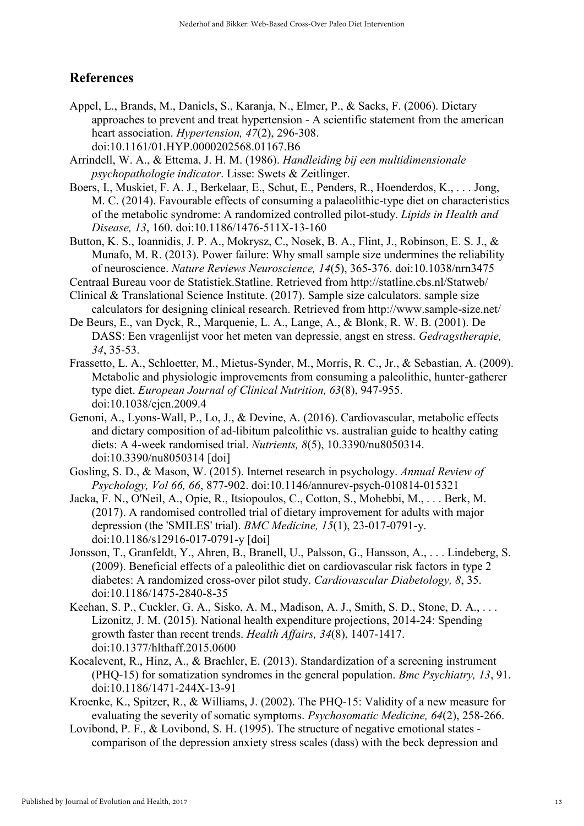## References

- Appel, L., Brands, M., Daniels, S., Karanja, N., Elmer, P., & Sacks, F. (2006). Dietary approaches to prevent and treat hypertension - A scientific statement from the american heart association. *Hypertension, 47*(2), 296-308. doi:10.1161/01.HYP.0000202568.01167.B6
- Arrindell, W. A., & Ettema, J. H. M. (1986). *Handleiding bij een multidimensionale psychopathologie indicator*. Lisse: Swets & Zeitlinger.
- Boers, I., Muskiet, F. A. J., Berkelaar, E., Schut, E., Penders, R., Hoenderdos, K., . . . Jong, M. C. (2014). Favourable effects of consuming a palaeolithic-type diet on characteristics of the metabolic syndrome: A randomized controlled pilot-study. *Lipids in Health and Disease, 13*, 160. doi:10.1186/1476-511X-13-160
- Button, K. S., Ioannidis, J. P. A., Mokrysz, C., Nosek, B. A., Flint, J., Robinson, E. S. J., & Munafo, M. R. (2013). Power failure: Why small sample size undermines the reliability of neuroscience. *Nature Reviews Neuroscience, 14*(5), 365-376. doi:10.1038/nrn3475
- Centraal Bureau voor de Statistiek.Statline. Retrieved from http://statline.cbs.nl/Statweb/
- Clinical & Translational Science Institute. (2017). Sample size calculators. sample size calculators for designing clinical research. Retrieved from http://www.sample-size.net/
- De Beurs, E., van Dyck, R., Marquenie, L. A., Lange, A., & Blonk, R. W. B. (2001). De DASS: Een vragenlijst voor het meten van depressie, angst en stress. *Gedragstherapie, 34*, 35-53.
- Frassetto, L. A., Schloetter, M., Mietus-Synder, M., Morris, R. C., Jr., & Sebastian, A. (2009). Metabolic and physiologic improvements from consuming a paleolithic, hunter-gatherer type diet. *European Journal of Clinical Nutrition, 63*(8), 947-955. doi:10.1038/ejcn.2009.4
- Genoni, A., Lyons-Wall, P., Lo, J., & Devine, A. (2016). Cardiovascular, metabolic effects and dietary composition of ad-libitum paleolithic vs. australian guide to healthy eating diets: A 4-week randomised trial. *Nutrients, 8*(5), 10.3390/nu8050314. doi:10.3390/nu8050314 [doi]
- Gosling, S. D., & Mason, W. (2015). Internet research in psychology. *Annual Review of Psychology, Vol 66, 66*, 877-902. doi:10.1146/annurev-psych-010814-015321
- Jacka, F. N., O'Neil, A., Opie, R., Itsiopoulos, C., Cotton, S., Mohebbi, M., . . . Berk, M. (2017). A randomised controlled trial of dietary improvement for adults with major depression (the 'SMILES' trial). *BMC Medicine, 15*(1), 23-017-0791-y. doi:10.1186/s12916-017-0791-y [doi]
- Jonsson, T., Granfeldt, Y., Ahren, B., Branell, U., Palsson, G., Hansson, A., . . . Lindeberg, S. (2009). Beneficial effects of a paleolithic diet on cardiovascular risk factors in type 2 diabetes: A randomized cross-over pilot study. *Cardiovascular Diabetology, 8*, 35. doi:10.1186/1475-2840-8-35
- Keehan, S. P., Cuckler, G. A., Sisko, A. M., Madison, A. J., Smith, S. D., Stone, D. A., . . . Lizonitz, J. M. (2015). National health expenditure projections, 2014-24: Spending growth faster than recent trends. *Health Affairs, 34*(8), 1407-1417. doi:10.1377/hlthaff.2015.0600
- Kocalevent, R., Hinz, A., & Braehler, E. (2013). Standardization of a screening instrument (PHQ-15) for somatization syndromes in the general population. *Bmc Psychiatry, 13*, 91. doi:10.1186/1471-244X-13-91
- Kroenke, K., Spitzer, R., & Williams, J. (2002). The PHQ-15: Validity of a new measure for evaluating the severity of somatic symptoms. *Psychosomatic Medicine, 64*(2), 258-266.
- Lovibond, P. F., & Lovibond, S. H. (1995). The structure of negative emotional states comparison of the depression anxiety stress scales (dass) with the beck depression and